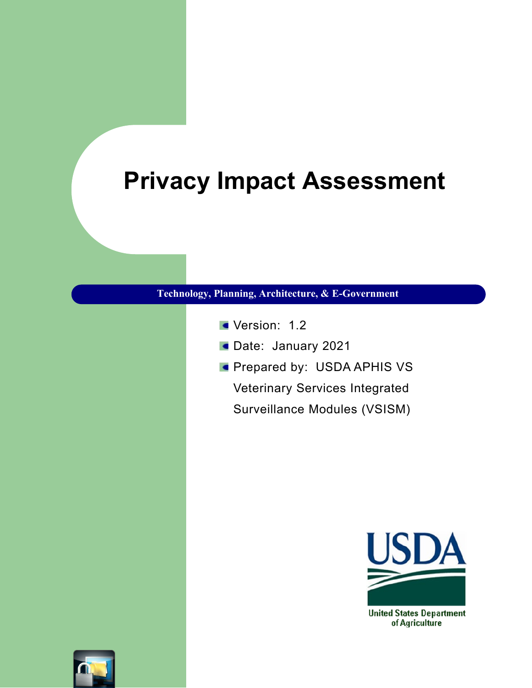# **Privacy Impact Assessment**

#### **Technology, Planning, Architecture, & E-Government**

- Version: 1.2
- Date: January 2021
- **Prepared by: USDA APHIS VS** Veterinary Services Integrated
	- Surveillance Modules (VSISM)



**United States Department** of Agriculture

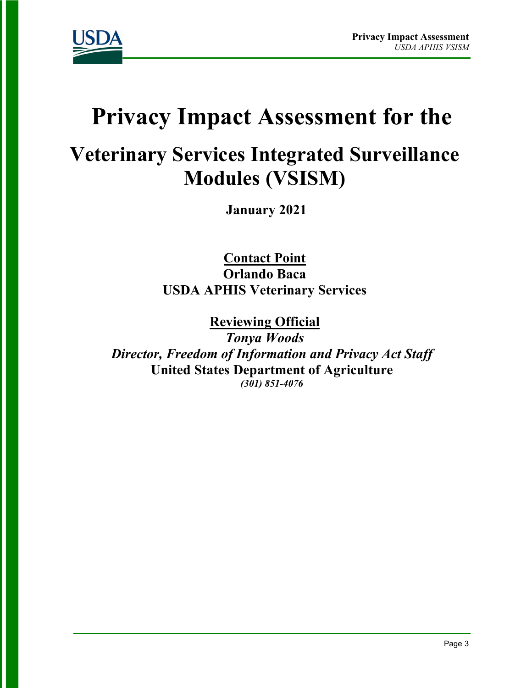

# **Privacy Impact Assessment for the**

# **Veterinary Services Integrated Surveillance Modules (VSISM)**

**January 2021**

**Contact Point Orlando Baca USDA APHIS Veterinary Services**

**Reviewing Official**  *Tonya Woods Director, Freedom of Information and Privacy Act Staff* **United States Department of Agriculture** *(301) 851-4076*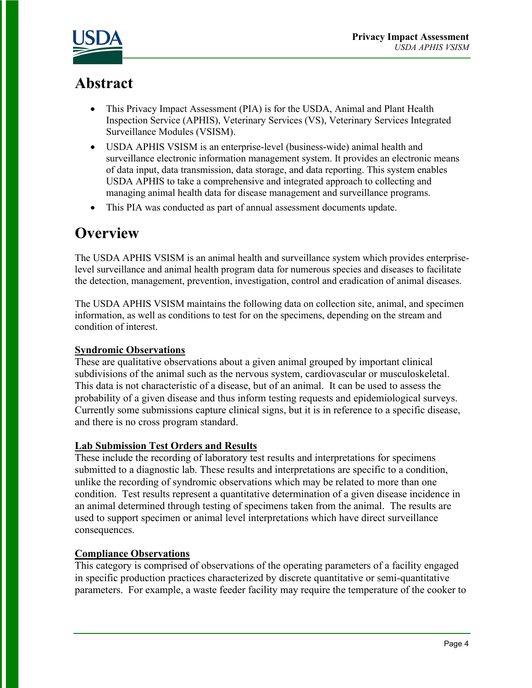



# **Abstract**

- This Privacy Impact Assessment (PIA) is for the USDA, Animal and Plant Health Inspection Service (APHIS), Veterinary Services (VS), Veterinary Services Integrated Surveillance Modules (VSISM).
- USDA APHIS VSISM is an enterprise-level (business-wide) animal health and surveillance electronic information management system. It provides an electronic means of data input, data transmission, data storage, and data reporting. This system enables USDA APHIS to take a comprehensive and integrated approach to collecting and managing animal health data for disease management and surveillance programs.
- This PIA was conducted as part of annual assessment documents update.

# **Overview**

The USDA APHIS VSISM is an animal health and surveillance system which provides enterpriselevel surveillance and animal health program data for numerous species and diseases to facilitate the detection, management, prevention, investigation, control and eradication of animal diseases.

The USDA APHIS VSISM maintains the following data on collection site, animal, and specimen information, as well as conditions to test for on the specimens, depending on the stream and condition of interest.

#### **Syndromic Observations**

These are qualitative observations about a given animal grouped by important clinical subdivisions of the animal such as the nervous system, cardiovascular or musculoskeletal. This data is not characteristic of a disease, but of an animal. It can be used to assess the probability of a given disease and thus inform testing requests and epidemiological surveys. Currently some submissions capture clinical signs, but it is in reference to a specific disease, and there is no cross program standard.

#### **Lab Submission Test Orders and Results**

These include the recording of laboratory test results and interpretations for specimens submitted to a diagnostic lab. These results and interpretations are specific to a condition, unlike the recording of syndromic observations which may be related to more than one condition. Test results represent a quantitative determination of a given disease incidence in an animal determined through testing of specimens taken from the animal. The results are used to support specimen or animal level interpretations which have direct surveillance consequences.

#### **Compliance Observations**

This category is comprised of observations of the operating parameters of a facility engaged in specific production practices characterized by discrete quantitative or semi-quantitative parameters. For example, a waste feeder facility may require the temperature of the cooker to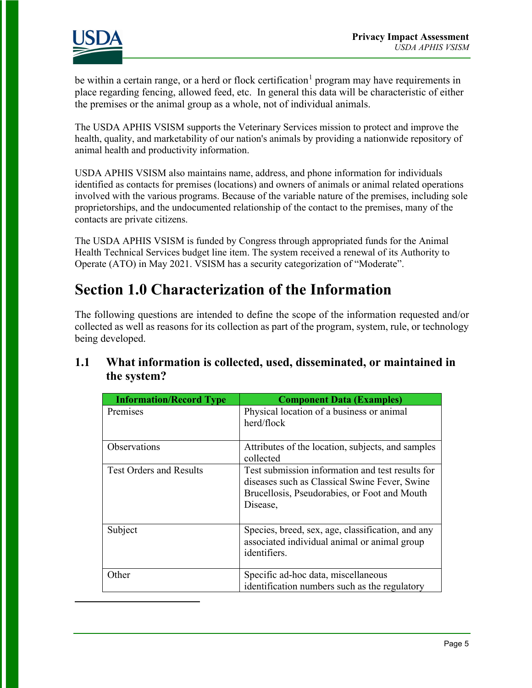

be within a certain range, or a herd or flock certification<sup>[1](#page-3-0)</sup> program may have requirements in place regarding fencing, allowed feed, etc. In general this data will be characteristic of either the premises or the animal group as a whole, not of individual animals.

The USDA APHIS VSISM supports the Veterinary Services mission to protect and improve the health, quality, and marketability of our nation's animals by providing a nationwide repository of animal health and productivity information.

USDA APHIS VSISM also maintains name, address, and phone information for individuals identified as contacts for premises (locations) and owners of animals or animal related operations involved with the various programs. Because of the variable nature of the premises, including sole proprietorships, and the undocumented relationship of the contact to the premises, many of the contacts are private citizens.

The USDA APHIS VSISM is funded by Congress through appropriated funds for the Animal Health Technical Services budget line item. The system received a renewal of its Authority to Operate (ATO) in May 2021. VSISM has a security categorization of "Moderate".

# **Section 1.0 Characterization of the Information**

The following questions are intended to define the scope of the information requested and/or collected as well as reasons for its collection as part of the program, system, rule, or technology being developed.

### **1.1 What information is collected, used, disseminated, or maintained in the system?**

<span id="page-3-0"></span>

| <b>Information/Record Type</b> | <b>Component Data (Examples)</b>                                                                                                                              |
|--------------------------------|---------------------------------------------------------------------------------------------------------------------------------------------------------------|
| Premises                       | Physical location of a business or animal<br>herd/flock                                                                                                       |
| Observations                   | Attributes of the location, subjects, and samples<br>collected                                                                                                |
| <b>Test Orders and Results</b> | Test submission information and test results for<br>diseases such as Classical Swine Fever, Swine<br>Brucellosis, Pseudorabies, or Foot and Mouth<br>Disease, |
| Subject                        | Species, breed, sex, age, classification, and any<br>associated individual animal or animal group<br>identifiers.                                             |
| Other                          | Specific ad-hoc data, miscellaneous<br>identification numbers such as the regulatory                                                                          |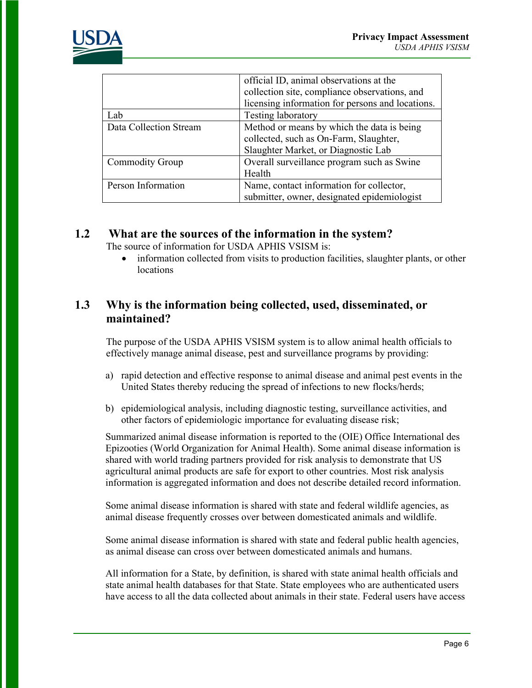

|                        | official ID, animal observations at the<br>collection site, compliance observations, and<br>licensing information for persons and locations. |
|------------------------|----------------------------------------------------------------------------------------------------------------------------------------------|
| Lab                    | <b>Testing laboratory</b>                                                                                                                    |
| Data Collection Stream | Method or means by which the data is being                                                                                                   |
|                        | collected, such as On-Farm, Slaughter,                                                                                                       |
|                        | Slaughter Market, or Diagnostic Lab                                                                                                          |
| <b>Commodity Group</b> | Overall surveillance program such as Swine                                                                                                   |
|                        | Health                                                                                                                                       |
| Person Information     | Name, contact information for collector,                                                                                                     |
|                        | submitter, owner, designated epidemiologist                                                                                                  |

# **1.2 What are the sources of the information in the system?**

The source of information for USDA APHIS VSISM is:

• information collected from visits to production facilities, slaughter plants, or other locations

# **1.3 Why is the information being collected, used, disseminated, or maintained?**

The purpose of the USDA APHIS VSISM system is to allow animal health officials to effectively manage animal disease, pest and surveillance programs by providing:

- a) rapid detection and effective response to animal disease and animal pest events in the United States thereby reducing the spread of infections to new flocks/herds;
- b) epidemiological analysis, including diagnostic testing, surveillance activities, and other factors of epidemiologic importance for evaluating disease risk;

Summarized animal disease information is reported to the (OIE) Office International des Epizooties (World Organization for Animal Health). Some animal disease information is shared with world trading partners provided for risk analysis to demonstrate that US agricultural animal products are safe for export to other countries. Most risk analysis information is aggregated information and does not describe detailed record information.

Some animal disease information is shared with state and federal wildlife agencies, as animal disease frequently crosses over between domesticated animals and wildlife.

Some animal disease information is shared with state and federal public health agencies, as animal disease can cross over between domesticated animals and humans.

All information for a State, by definition, is shared with state animal health officials and state animal health databases for that State. State employees who are authenticated users have access to all the data collected about animals in their state. Federal users have access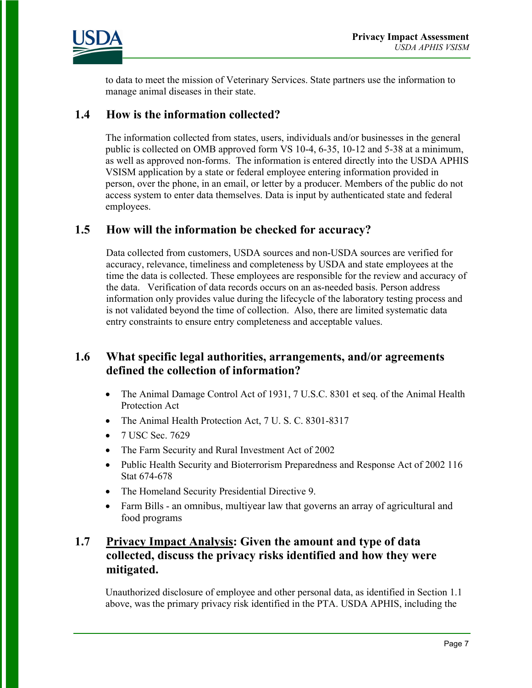

to data to meet the mission of Veterinary Services. State partners use the information to manage animal diseases in their state.

#### **1.4 How is the information collected?**

The information collected from states, users, individuals and/or businesses in the general public is collected on OMB approved form VS 10-4, 6-35, 10-12 and 5-38 at a minimum, as well as approved non-forms. The information is entered directly into the USDA APHIS VSISM application by a state or federal employee entering information provided in person, over the phone, in an email, or letter by a producer. Members of the public do not access system to enter data themselves. Data is input by authenticated state and federal employees.

#### **1.5 How will the information be checked for accuracy?**

Data collected from customers, USDA sources and non-USDA sources are verified for accuracy, relevance, timeliness and completeness by USDA and state employees at the time the data is collected. These employees are responsible for the review and accuracy of the data. Verification of data records occurs on an as-needed basis. Person address information only provides value during the lifecycle of the laboratory testing process and is not validated beyond the time of collection. Also, there are limited systematic data entry constraints to ensure entry completeness and acceptable values.

## **1.6 What specific legal authorities, arrangements, and/or agreements defined the collection of information?**

- The Animal Damage Control Act of 1931, 7 U.S.C. 8301 et seq. of the Animal Health Protection Act
- The Animal Health Protection Act, 7 U.S.C. 8301-8317
- 7 USC Sec. 7629
- The Farm Security and Rural Investment Act of 2002
- Public Health Security and Bioterrorism Preparedness and Response Act of 2002 116 Stat 674-678
- The Homeland Security Presidential Directive 9.
- Farm Bills an omnibus, multiyear law that governs an array of agricultural and food programs

### **1.7 Privacy Impact Analysis: Given the amount and type of data collected, discuss the privacy risks identified and how they were mitigated.**

Unauthorized disclosure of employee and other personal data, as identified in Section 1.1 above, was the primary privacy risk identified in the PTA. USDA APHIS, including the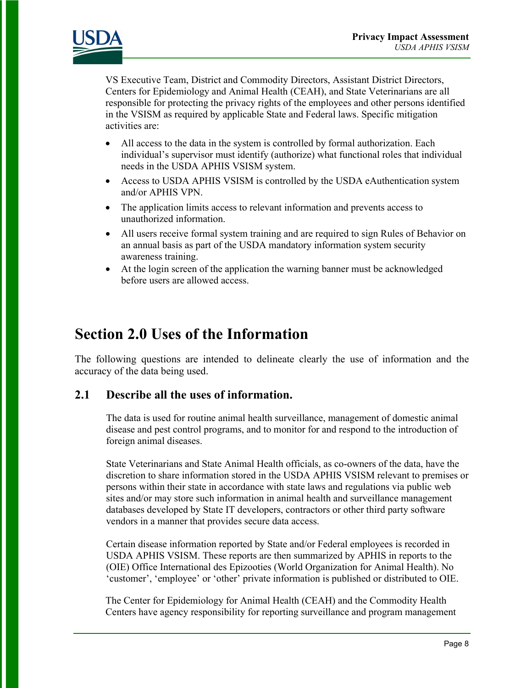

VS Executive Team, District and Commodity Directors, Assistant District Directors, Centers for Epidemiology and Animal Health (CEAH), and State Veterinarians are all responsible for protecting the privacy rights of the employees and other persons identified in the VSISM as required by applicable State and Federal laws. Specific mitigation activities are:

- All access to the data in the system is controlled by formal authorization. Each individual's supervisor must identify (authorize) what functional roles that individual needs in the USDA APHIS VSISM system.
- Access to USDA APHIS VSISM is controlled by the USDA eAuthentication system and/or APHIS VPN.
- The application limits access to relevant information and prevents access to unauthorized information.
- All users receive formal system training and are required to sign Rules of Behavior on an annual basis as part of the USDA mandatory information system security awareness training.
- At the login screen of the application the warning banner must be acknowledged before users are allowed access.

# **Section 2.0 Uses of the Information**

The following questions are intended to delineate clearly the use of information and the accuracy of the data being used.

### **2.1 Describe all the uses of information.**

The data is used for routine animal health surveillance, management of domestic animal disease and pest control programs, and to monitor for and respond to the introduction of foreign animal diseases.

State Veterinarians and State Animal Health officials, as co-owners of the data, have the discretion to share information stored in the USDA APHIS VSISM relevant to premises or persons within their state in accordance with state laws and regulations via public web sites and/or may store such information in animal health and surveillance management databases developed by State IT developers, contractors or other third party software vendors in a manner that provides secure data access.

Certain disease information reported by State and/or Federal employees is recorded in USDA APHIS VSISM. These reports are then summarized by APHIS in reports to the (OIE) Office International des Epizooties (World Organization for Animal Health). No 'customer', 'employee' or 'other' private information is published or distributed to OIE.

The Center for Epidemiology for Animal Health (CEAH) and the Commodity Health Centers have agency responsibility for reporting surveillance and program management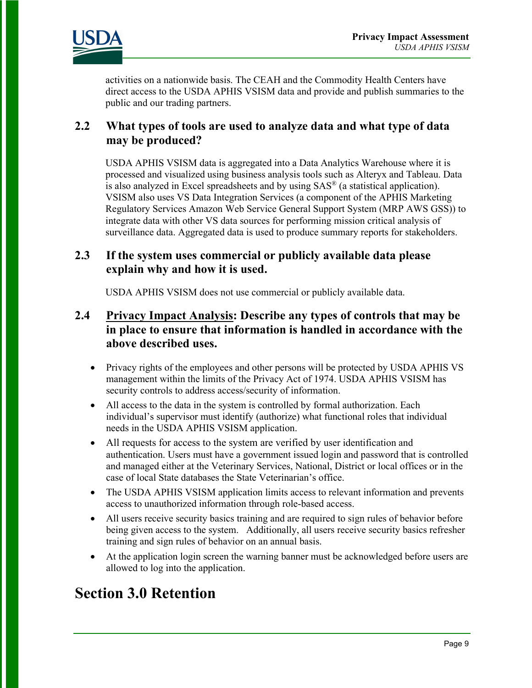

activities on a nationwide basis. The CEAH and the Commodity Health Centers have direct access to the USDA APHIS VSISM data and provide and publish summaries to the public and our trading partners.

#### **2.2 What types of tools are used to analyze data and what type of data may be produced?**

USDA APHIS VSISM data is aggregated into a Data Analytics Warehouse where it is processed and visualized using business analysis tools such as Alteryx and Tableau. Data is also analyzed in Excel spreadsheets and by using SAS® (a statistical application). VSISM also uses VS Data Integration Services (a component of the APHIS Marketing Regulatory Services Amazon Web Service General Support System (MRP AWS GSS)) to integrate data with other VS data sources for performing mission critical analysis of surveillance data. Aggregated data is used to produce summary reports for stakeholders.

#### **2.3 If the system uses commercial or publicly available data please explain why and how it is used.**

USDA APHIS VSISM does not use commercial or publicly available data.

### **2.4 Privacy Impact Analysis: Describe any types of controls that may be in place to ensure that information is handled in accordance with the above described uses.**

- Privacy rights of the employees and other persons will be protected by USDA APHIS VS management within the limits of the Privacy Act of 1974. USDA APHIS VSISM has security controls to address access/security of information.
- All access to the data in the system is controlled by formal authorization. Each individual's supervisor must identify (authorize) what functional roles that individual needs in the USDA APHIS VSISM application.
- All requests for access to the system are verified by user identification and authentication. Users must have a government issued login and password that is controlled and managed either at the Veterinary Services, National, District or local offices or in the case of local State databases the State Veterinarian's office.
- The USDA APHIS VSISM application limits access to relevant information and prevents access to unauthorized information through role-based access.
- All users receive security basics training and are required to sign rules of behavior before being given access to the system. Additionally, all users receive security basics refresher training and sign rules of behavior on an annual basis.
- At the application login screen the warning banner must be acknowledged before users are allowed to log into the application.

# **Section 3.0 Retention**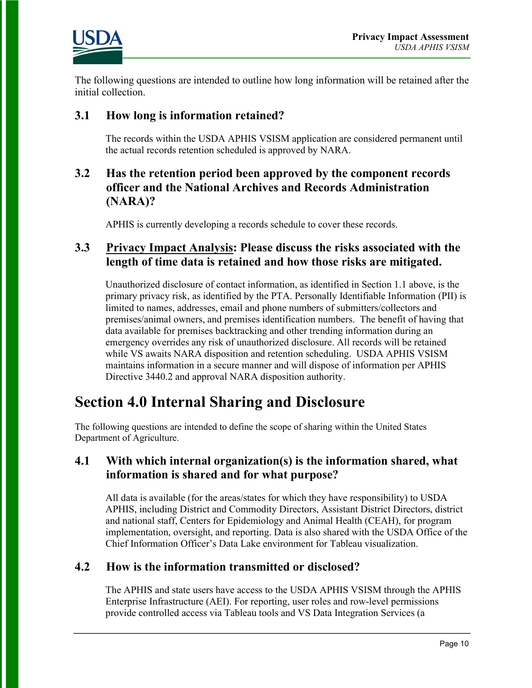

The following questions are intended to outline how long information will be retained after the initial collection.

### **3.1 How long is information retained?**

The records within the USDA APHIS VSISM application are considered permanent until the actual records retention scheduled is approved by NARA.

# **3.2 Has the retention period been approved by the component records officer and the National Archives and Records Administration (NARA)?**

APHIS is currently developing a records schedule to cover these records.

#### **3.3 Privacy Impact Analysis: Please discuss the risks associated with the length of time data is retained and how those risks are mitigated.**

Unauthorized disclosure of contact information, as identified in Section 1.1 above, is the primary privacy risk, as identified by the PTA. Personally Identifiable Information (PII) is limited to names, addresses, email and phone numbers of submitters/collectors and premises/animal owners, and premises identification numbers. The benefit of having that data available for premises backtracking and other trending information during an emergency overrides any risk of unauthorized disclosure. All records will be retained while VS awaits NARA disposition and retention scheduling. USDA APHIS VSISM maintains information in a secure manner and will dispose of information per APHIS Directive 3440.2 and approval NARA disposition authority.

# **Section 4.0 Internal Sharing and Disclosure**

The following questions are intended to define the scope of sharing within the United States Department of Agriculture.

### **4.1 With which internal organization(s) is the information shared, what information is shared and for what purpose?**

All data is available (for the areas/states for which they have responsibility) to USDA APHIS, including District and Commodity Directors, Assistant District Directors, district and national staff, Centers for Epidemiology and Animal Health (CEAH), for program implementation, oversight, and reporting. Data is also shared with the USDA Office of the Chief Information Officer's Data Lake environment for Tableau visualization.

### **4.2 How is the information transmitted or disclosed?**

The APHIS and state users have access to the USDA APHIS VSISM through the APHIS Enterprise Infrastructure (AEI). For reporting, user roles and row-level permissions provide controlled access via Tableau tools and VS Data Integration Services (a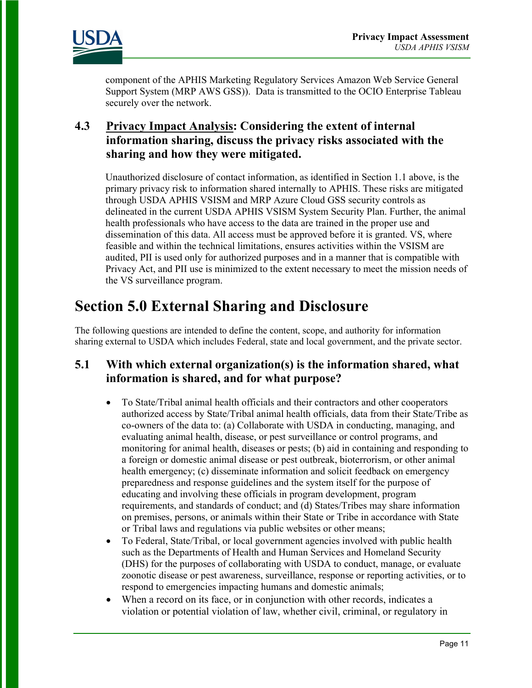

component of the APHIS Marketing Regulatory Services Amazon Web Service General Support System (MRP AWS GSS)). Data is transmitted to the OCIO Enterprise Tableau securely over the network.

### **4.3 Privacy Impact Analysis: Considering the extent of internal information sharing, discuss the privacy risks associated with the sharing and how they were mitigated.**

Unauthorized disclosure of contact information, as identified in Section 1.1 above, is the primary privacy risk to information shared internally to APHIS. These risks are mitigated through USDA APHIS VSISM and MRP Azure Cloud GSS security controls as delineated in the current USDA APHIS VSISM System Security Plan. Further, the animal health professionals who have access to the data are trained in the proper use and dissemination of this data. All access must be approved before it is granted. VS, where feasible and within the technical limitations, ensures activities within the VSISM are audited, PII is used only for authorized purposes and in a manner that is compatible with Privacy Act, and PII use is minimized to the extent necessary to meet the mission needs of the VS surveillance program.

# **Section 5.0 External Sharing and Disclosure**

The following questions are intended to define the content, scope, and authority for information sharing external to USDA which includes Federal, state and local government, and the private sector.

## **5.1 With which external organization(s) is the information shared, what information is shared, and for what purpose?**

- To State/Tribal animal health officials and their contractors and other cooperators authorized access by State/Tribal animal health officials, data from their State/Tribe as co-owners of the data to: (a) Collaborate with USDA in conducting, managing, and evaluating animal health, disease, or pest surveillance or control programs, and monitoring for animal health, diseases or pests; (b) aid in containing and responding to a foreign or domestic animal disease or pest outbreak, bioterrorism, or other animal health emergency; (c) disseminate information and solicit feedback on emergency preparedness and response guidelines and the system itself for the purpose of educating and involving these officials in program development, program requirements, and standards of conduct; and (d) States/Tribes may share information on premises, persons, or animals within their State or Tribe in accordance with State or Tribal laws and regulations via public websites or other means;
- To Federal, State/Tribal, or local government agencies involved with public health such as the Departments of Health and Human Services and Homeland Security (DHS) for the purposes of collaborating with USDA to conduct, manage, or evaluate zoonotic disease or pest awareness, surveillance, response or reporting activities, or to respond to emergencies impacting humans and domestic animals;
- When a record on its face, or in conjunction with other records, indicates a violation or potential violation of law, whether civil, criminal, or regulatory in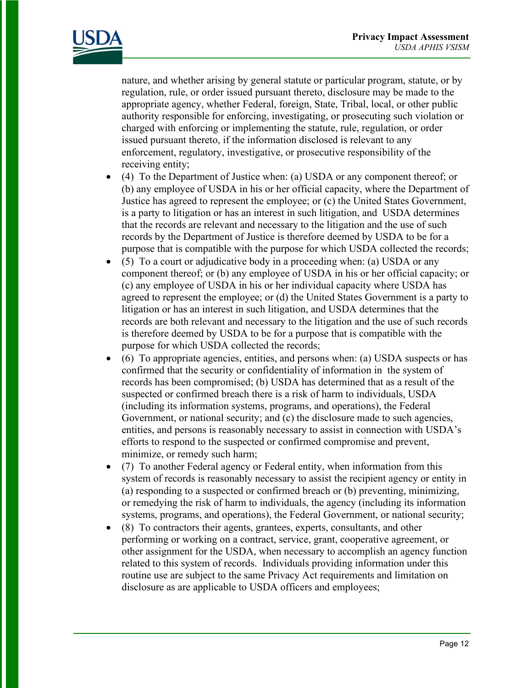

nature, and whether arising by general statute or particular program, statute, or by regulation, rule, or order issued pursuant thereto, disclosure may be made to the appropriate agency, whether Federal, foreign, State, Tribal, local, or other public authority responsible for enforcing, investigating, or prosecuting such violation or charged with enforcing or implementing the statute, rule, regulation, or order issued pursuant thereto, if the information disclosed is relevant to any enforcement, regulatory, investigative, or prosecutive responsibility of the receiving entity;

- (4) To the Department of Justice when: (a) USDA or any component thereof; or (b) any employee of USDA in his or her official capacity, where the Department of Justice has agreed to represent the employee; or (c) the United States Government, is a party to litigation or has an interest in such litigation, and USDA determines that the records are relevant and necessary to the litigation and the use of such records by the Department of Justice is therefore deemed by USDA to be for a purpose that is compatible with the purpose for which USDA collected the records;
- (5) To a court or adjudicative body in a proceeding when: (a) USDA or any component thereof; or (b) any employee of USDA in his or her official capacity; or (c) any employee of USDA in his or her individual capacity where USDA has agreed to represent the employee; or (d) the United States Government is a party to litigation or has an interest in such litigation, and USDA determines that the records are both relevant and necessary to the litigation and the use of such records is therefore deemed by USDA to be for a purpose that is compatible with the purpose for which USDA collected the records;
- (6) To appropriate agencies, entities, and persons when: (a) USDA suspects or has confirmed that the security or confidentiality of information in the system of records has been compromised; (b) USDA has determined that as a result of the suspected or confirmed breach there is a risk of harm to individuals, USDA (including its information systems, programs, and operations), the Federal Government, or national security; and (c) the disclosure made to such agencies, entities, and persons is reasonably necessary to assist in connection with USDA's efforts to respond to the suspected or confirmed compromise and prevent, minimize, or remedy such harm;
- (7) To another Federal agency or Federal entity, when information from this system of records is reasonably necessary to assist the recipient agency or entity in (a) responding to a suspected or confirmed breach or (b) preventing, minimizing, or remedying the risk of harm to individuals, the agency (including its information systems, programs, and operations), the Federal Government, or national security;
- (8) To contractors their agents, grantees, experts, consultants, and other performing or working on a contract, service, grant, cooperative agreement, or other assignment for the USDA, when necessary to accomplish an agency function related to this system of records. Individuals providing information under this routine use are subject to the same Privacy Act requirements and limitation on disclosure as are applicable to USDA officers and employees;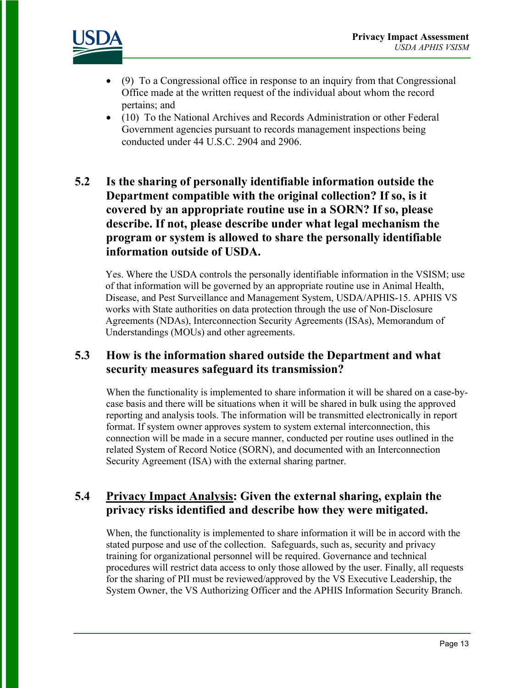

- (9) To a Congressional office in response to an inquiry from that Congressional Office made at the written request of the individual about whom the record pertains; and
- (10) To the National Archives and Records Administration or other Federal Government agencies pursuant to records management inspections being conducted under 44 U.S.C. 2904 and 2906.

# **5.2 Is the sharing of personally identifiable information outside the Department compatible with the original collection? If so, is it covered by an appropriate routine use in a SORN? If so, please describe. If not, please describe under what legal mechanism the program or system is allowed to share the personally identifiable information outside of USDA.**

Yes. Where the USDA controls the personally identifiable information in the VSISM; use of that information will be governed by an appropriate routine use in Animal Health, Disease, and Pest Surveillance and Management System, USDA/APHIS-15. APHIS VS works with State authorities on data protection through the use of Non-Disclosure Agreements (NDAs), Interconnection Security Agreements (ISAs), Memorandum of Understandings (MOUs) and other agreements.

### **5.3 How is the information shared outside the Department and what security measures safeguard its transmission?**

When the functionality is implemented to share information it will be shared on a case-bycase basis and there will be situations when it will be shared in bulk using the approved reporting and analysis tools. The information will be transmitted electronically in report format. If system owner approves system to system external interconnection, this connection will be made in a secure manner, conducted per routine uses outlined in the related System of Record Notice (SORN), and documented with an Interconnection Security Agreement (ISA) with the external sharing partner.

# **5.4 Privacy Impact Analysis: Given the external sharing, explain the privacy risks identified and describe how they were mitigated.**

When, the functionality is implemented to share information it will be in accord with the stated purpose and use of the collection. Safeguards, such as, security and privacy training for organizational personnel will be required. Governance and technical procedures will restrict data access to only those allowed by the user. Finally, all requests for the sharing of PII must be reviewed/approved by the VS Executive Leadership, the System Owner, the VS Authorizing Officer and the APHIS Information Security Branch.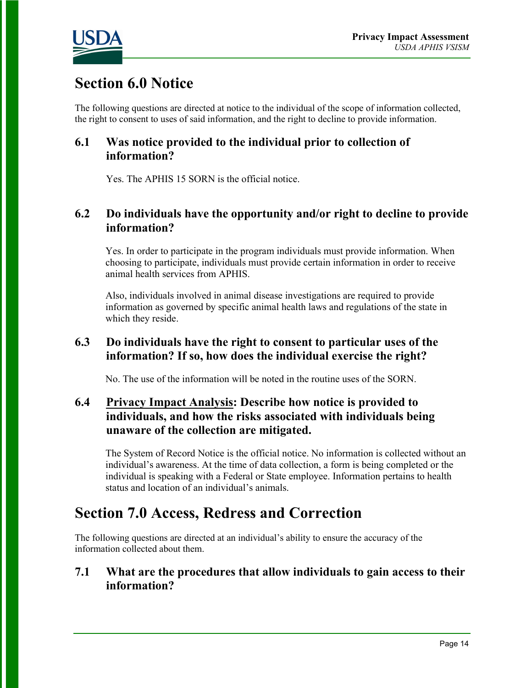

# **Section 6.0 Notice**

The following questions are directed at notice to the individual of the scope of information collected, the right to consent to uses of said information, and the right to decline to provide information.

# **6.1 Was notice provided to the individual prior to collection of information?**

Yes. The APHIS 15 SORN is the official notice.

#### **6.2 Do individuals have the opportunity and/or right to decline to provide information?**

Yes. In order to participate in the program individuals must provide information. When choosing to participate, individuals must provide certain information in order to receive animal health services from APHIS.

Also, individuals involved in animal disease investigations are required to provide information as governed by specific animal health laws and regulations of the state in which they reside.

## **6.3 Do individuals have the right to consent to particular uses of the information? If so, how does the individual exercise the right?**

No. The use of the information will be noted in the routine uses of the SORN.

# **6.4 Privacy Impact Analysis: Describe how notice is provided to individuals, and how the risks associated with individuals being unaware of the collection are mitigated.**

The System of Record Notice is the official notice. No information is collected without an individual's awareness. At the time of data collection, a form is being completed or the individual is speaking with a Federal or State employee. Information pertains to health status and location of an individual's animals.

# **Section 7.0 Access, Redress and Correction**

The following questions are directed at an individual's ability to ensure the accuracy of the information collected about them.

#### **7.1 What are the procedures that allow individuals to gain access to their information?**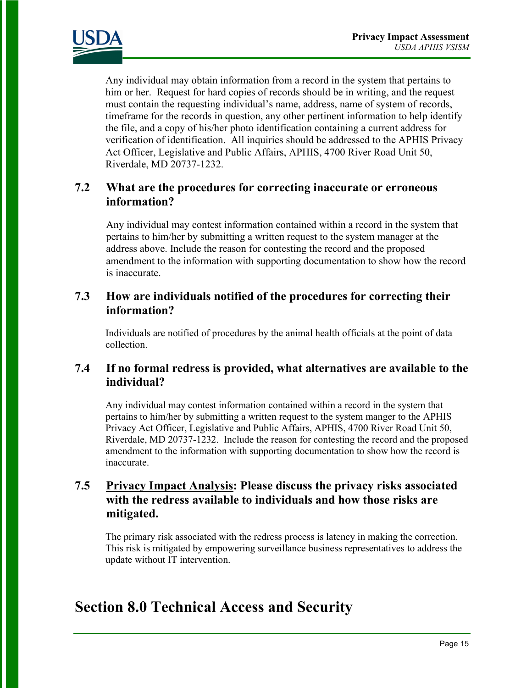

Any individual may obtain information from a record in the system that pertains to him or her. Request for hard copies of records should be in writing, and the request must contain the requesting individual's name, address, name of system of records, timeframe for the records in question, any other pertinent information to help identify the file, and a copy of his/her photo identification containing a current address for verification of identification. All inquiries should be addressed to the APHIS Privacy Act Officer, Legislative and Public Affairs, APHIS, 4700 River Road Unit 50, Riverdale, MD 20737-1232.

### **7.2 What are the procedures for correcting inaccurate or erroneous information?**

Any individual may contest information contained within a record in the system that pertains to him/her by submitting a written request to the system manager at the address above. Include the reason for contesting the record and the proposed amendment to the information with supporting documentation to show how the record is inaccurate.

### **7.3 How are individuals notified of the procedures for correcting their information?**

Individuals are notified of procedures by the animal health officials at the point of data collection.

### **7.4 If no formal redress is provided, what alternatives are available to the individual?**

Any individual may contest information contained within a record in the system that pertains to him/her by submitting a written request to the system manger to the APHIS Privacy Act Officer, Legislative and Public Affairs, APHIS, 4700 River Road Unit 50, Riverdale, MD 20737-1232. Include the reason for contesting the record and the proposed amendment to the information with supporting documentation to show how the record is inaccurate.

### **7.5 Privacy Impact Analysis: Please discuss the privacy risks associated with the redress available to individuals and how those risks are mitigated.**

The primary risk associated with the redress process is latency in making the correction. This risk is mitigated by empowering surveillance business representatives to address the update without IT intervention.

# **Section 8.0 Technical Access and Security**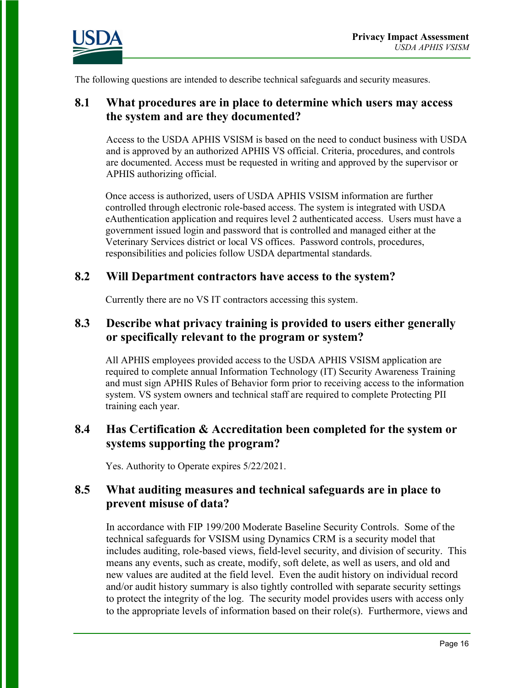

The following questions are intended to describe technical safeguards and security measures.

#### **8.1 What procedures are in place to determine which users may access the system and are they documented?**

Access to the USDA APHIS VSISM is based on the need to conduct business with USDA and is approved by an authorized APHIS VS official. Criteria, procedures, and controls are documented. Access must be requested in writing and approved by the supervisor or APHIS authorizing official.

Once access is authorized, users of USDA APHIS VSISM information are further controlled through electronic role-based access. The system is integrated with USDA eAuthentication application and requires level 2 authenticated access. Users must have a government issued login and password that is controlled and managed either at the Veterinary Services district or local VS offices. Password controls, procedures, responsibilities and policies follow USDA departmental standards.

#### **8.2 Will Department contractors have access to the system?**

Currently there are no VS IT contractors accessing this system.

#### **8.3 Describe what privacy training is provided to users either generally or specifically relevant to the program or system?**

All APHIS employees provided access to the USDA APHIS VSISM application are required to complete annual Information Technology (IT) Security Awareness Training and must sign APHIS Rules of Behavior form prior to receiving access to the information system. VS system owners and technical staff are required to complete Protecting PII training each year.

#### **8.4 Has Certification & Accreditation been completed for the system or systems supporting the program?**

Yes. Authority to Operate expires 5/22/2021.

### **8.5 What auditing measures and technical safeguards are in place to prevent misuse of data?**

In accordance with FIP 199/200 Moderate Baseline Security Controls. Some of the technical safeguards for VSISM using Dynamics CRM is a security model that includes auditing, role-based views, field-level security, and division of security. This means any events, such as create, modify, soft delete, as well as users, and old and new values are audited at the field level. Even the audit history on individual record and/or audit history summary is also tightly controlled with separate security settings to protect the integrity of the log. The security model provides users with access only to the appropriate levels of information based on their role(s). Furthermore, views and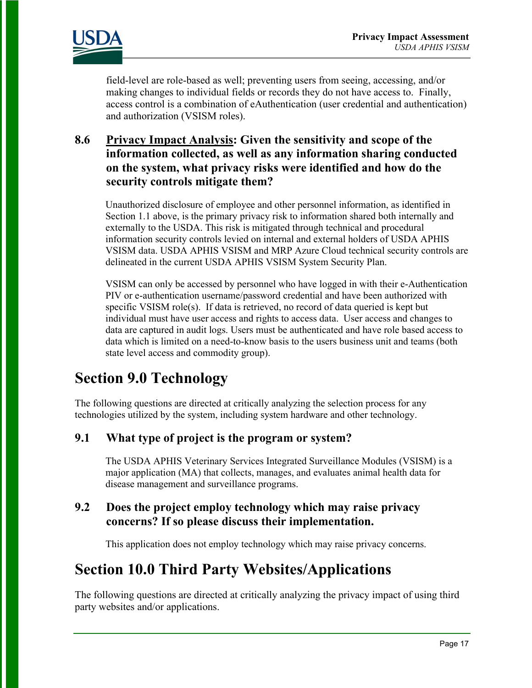

field-level are role-based as well; preventing users from seeing, accessing, and/or making changes to individual fields or records they do not have access to. Finally, access control is a combination of eAuthentication (user credential and authentication) and authorization (VSISM roles).

# **8.6 Privacy Impact Analysis: Given the sensitivity and scope of the information collected, as well as any information sharing conducted on the system, what privacy risks were identified and how do the security controls mitigate them?**

Unauthorized disclosure of employee and other personnel information, as identified in Section 1.1 above, is the primary privacy risk to information shared both internally and externally to the USDA. This risk is mitigated through technical and procedural information security controls levied on internal and external holders of USDA APHIS VSISM data. USDA APHIS VSISM and MRP Azure Cloud technical security controls are delineated in the current USDA APHIS VSISM System Security Plan.

VSISM can only be accessed by personnel who have logged in with their e-Authentication PIV or e-authentication username/password credential and have been authorized with specific VSISM role(s). If data is retrieved, no record of data queried is kept but individual must have user access and rights to access data. User access and changes to data are captured in audit logs. Users must be authenticated and have role based access to data which is limited on a need-to-know basis to the users business unit and teams (both state level access and commodity group).

# **Section 9.0 Technology**

The following questions are directed at critically analyzing the selection process for any technologies utilized by the system, including system hardware and other technology.

# **9.1 What type of project is the program or system?**

The USDA APHIS Veterinary Services Integrated Surveillance Modules (VSISM) is a major application (MA) that collects, manages, and evaluates animal health data for disease management and surveillance programs.

## **9.2 Does the project employ technology which may raise privacy concerns? If so please discuss their implementation.**

This application does not employ technology which may raise privacy concerns.

# **Section 10.0 Third Party Websites/Applications**

The following questions are directed at critically analyzing the privacy impact of using third party websites and/or applications.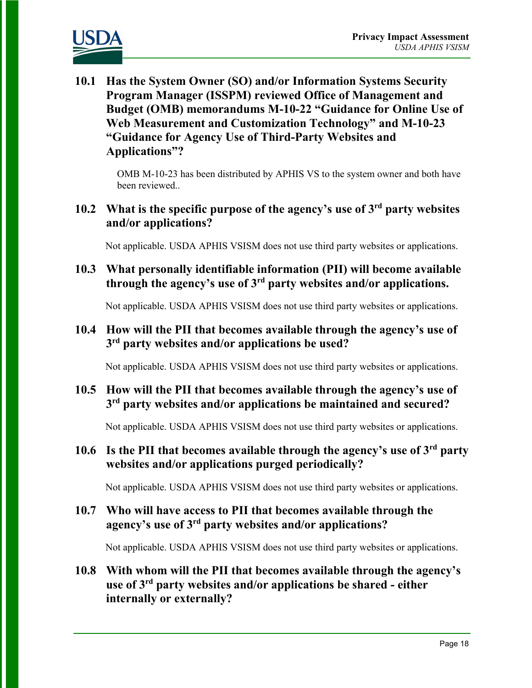

**10.1 Has the System Owner (SO) and/or Information Systems Security Program Manager (ISSPM) reviewed Office of Management and Budget (OMB) memorandums M-10-22 "Guidance for Online Use of Web Measurement and Customization Technology" and M-10-23 "Guidance for Agency Use of Third-Party Websites and Applications"?**

> OMB M-10-23 has been distributed by APHIS VS to the system owner and both have been reviewed..

# **10.2 What is the specific purpose of the agency's use of 3rd party websites and/or applications?**

Not applicable. USDA APHIS VSISM does not use third party websites or applications.

**10.3 What personally identifiable information (PII) will become available through the agency's use of 3rd party websites and/or applications.**

Not applicable. USDA APHIS VSISM does not use third party websites or applications.

**10.4 How will the PII that becomes available through the agency's use of 3rd party websites and/or applications be used?**

Not applicable. USDA APHIS VSISM does not use third party websites or applications.

### **10.5 How will the PII that becomes available through the agency's use of 3rd party websites and/or applications be maintained and secured?**

Not applicable. USDA APHIS VSISM does not use third party websites or applications.

**10.6 Is the PII that becomes available through the agency's use of 3rd party websites and/or applications purged periodically?** 

Not applicable. USDA APHIS VSISM does not use third party websites or applications.

### **10.7 Who will have access to PII that becomes available through the agency's use of 3rd party websites and/or applications?**

Not applicable. USDA APHIS VSISM does not use third party websites or applications.

# **10.8 With whom will the PII that becomes available through the agency's use of 3rd party websites and/or applications be shared - either internally or externally?**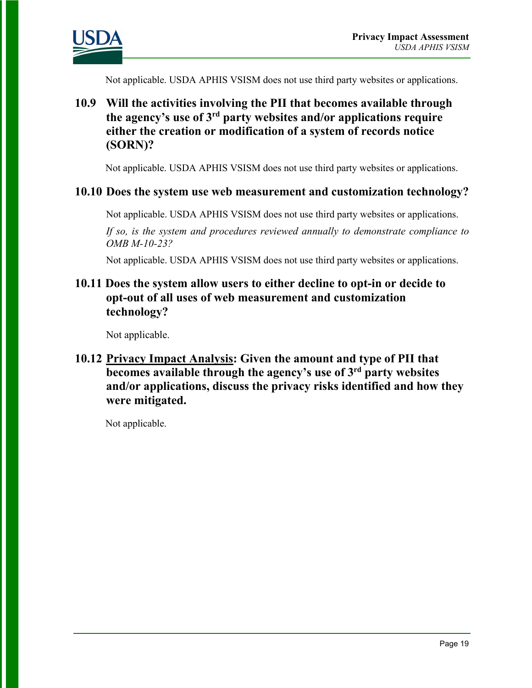

Not applicable. USDA APHIS VSISM does not use third party websites or applications.

# **10.9 Will the activities involving the PII that becomes available through the agency's use of 3rd party websites and/or applications require either the creation or modification of a system of records notice (SORN)?**

Not applicable. USDA APHIS VSISM does not use third party websites or applications.

#### **10.10 Does the system use web measurement and customization technology?**

Not applicable. USDA APHIS VSISM does not use third party websites or applications.

*If so, is the system and procedures reviewed annually to demonstrate compliance to OMB M-10-23?*

Not applicable. USDA APHIS VSISM does not use third party websites or applications.

### **10.11 Does the system allow users to either decline to opt-in or decide to opt-out of all uses of web measurement and customization technology?**

Not applicable.

## **10.12 Privacy Impact Analysis: Given the amount and type of PII that becomes available through the agency's use of 3rd party websites and/or applications, discuss the privacy risks identified and how they were mitigated.**

Not applicable.